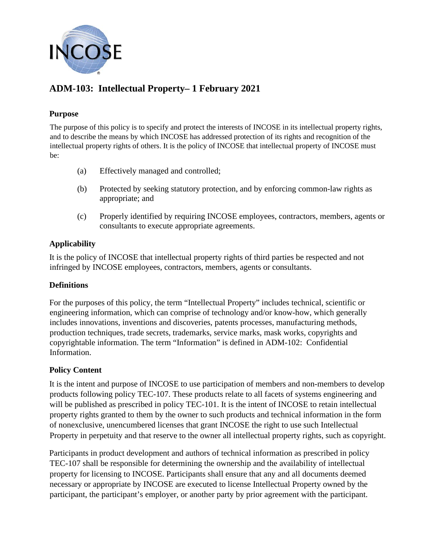

# **ADM-103: Intellectual Property– 1 February 2021**

#### **Purpose**

The purpose of this policy is to specify and protect the interests of INCOSE in its intellectual property rights, and to describe the means by which INCOSE has addressed protection of its rights and recognition of the intellectual property rights of others. It is the policy of INCOSE that intellectual property of INCOSE must be:

- (a) Effectively managed and controlled;
- (b) Protected by seeking statutory protection, and by enforcing common-law rights as appropriate; and
- (c) Properly identified by requiring INCOSE employees, contractors, members, agents or consultants to execute appropriate agreements.

### **Applicability**

It is the policy of INCOSE that intellectual property rights of third parties be respected and not infringed by INCOSE employees, contractors, members, agents or consultants.

### **Definitions**

For the purposes of this policy, the term "Intellectual Property" includes technical, scientific or engineering information, which can comprise of technology and/or know-how, which generally includes innovations, inventions and discoveries, patents processes, manufacturing methods, production techniques, trade secrets, trademarks, service marks, mask works, copyrights and copyrightable information. The term "Information" is defined in ADM-102: Confidential Information.

### **Policy Content**

It is the intent and purpose of INCOSE to use participation of members and non-members to develop products following policy TEC-107. These products relate to all facets of systems engineering and will be published as prescribed in policy TEC-101. It is the intent of INCOSE to retain intellectual property rights granted to them by the owner to such products and technical information in the form of nonexclusive, unencumbered licenses that grant INCOSE the right to use such Intellectual Property in perpetuity and that reserve to the owner all intellectual property rights, such as copyright.

Participants in product development and authors of technical information as prescribed in policy TEC-107 shall be responsible for determining the ownership and the availability of intellectual property for licensing to INCOSE. Participants shall ensure that any and all documents deemed necessary or appropriate by INCOSE are executed to license Intellectual Property owned by the participant, the participant's employer, or another party by prior agreement with the participant.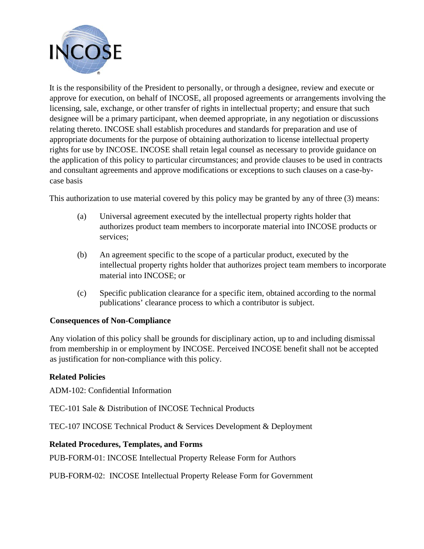

It is the responsibility of the President to personally, or through a designee, review and execute or approve for execution, on behalf of INCOSE, all proposed agreements or arrangements involving the licensing, sale, exchange, or other transfer of rights in intellectual property; and ensure that such designee will be a primary participant, when deemed appropriate, in any negotiation or discussions relating thereto. INCOSE shall establish procedures and standards for preparation and use of appropriate documents for the purpose of obtaining authorization to license intellectual property rights for use by INCOSE. INCOSE shall retain legal counsel as necessary to provide guidance on the application of this policy to particular circumstances; and provide clauses to be used in contracts and consultant agreements and approve modifications or exceptions to such clauses on a case-bycase basis

This authorization to use material covered by this policy may be granted by any of three (3) means:

- (a) Universal agreement executed by the intellectual property rights holder that authorizes product team members to incorporate material into INCOSE products or services;
- (b) An agreement specific to the scope of a particular product, executed by the intellectual property rights holder that authorizes project team members to incorporate material into INCOSE; or
- (c) Specific publication clearance for a specific item, obtained according to the normal publications' clearance process to which a contributor is subject.

## **Consequences of Non-Compliance**

Any violation of this policy shall be grounds for disciplinary action, up to and including dismissal from membership in or employment by INCOSE. Perceived INCOSE benefit shall not be accepted as justification for non-compliance with this policy.

### **Related Policies**

ADM-102: Confidential Information

TEC-101 Sale & Distribution of INCOSE Technical Products

TEC-107 INCOSE Technical Product & Services Development & Deployment

### **Related Procedures, Templates, and Forms**

PUB-FORM-01: INCOSE Intellectual Property Release Form for Authors

PUB-FORM-02: INCOSE Intellectual Property Release Form for Government